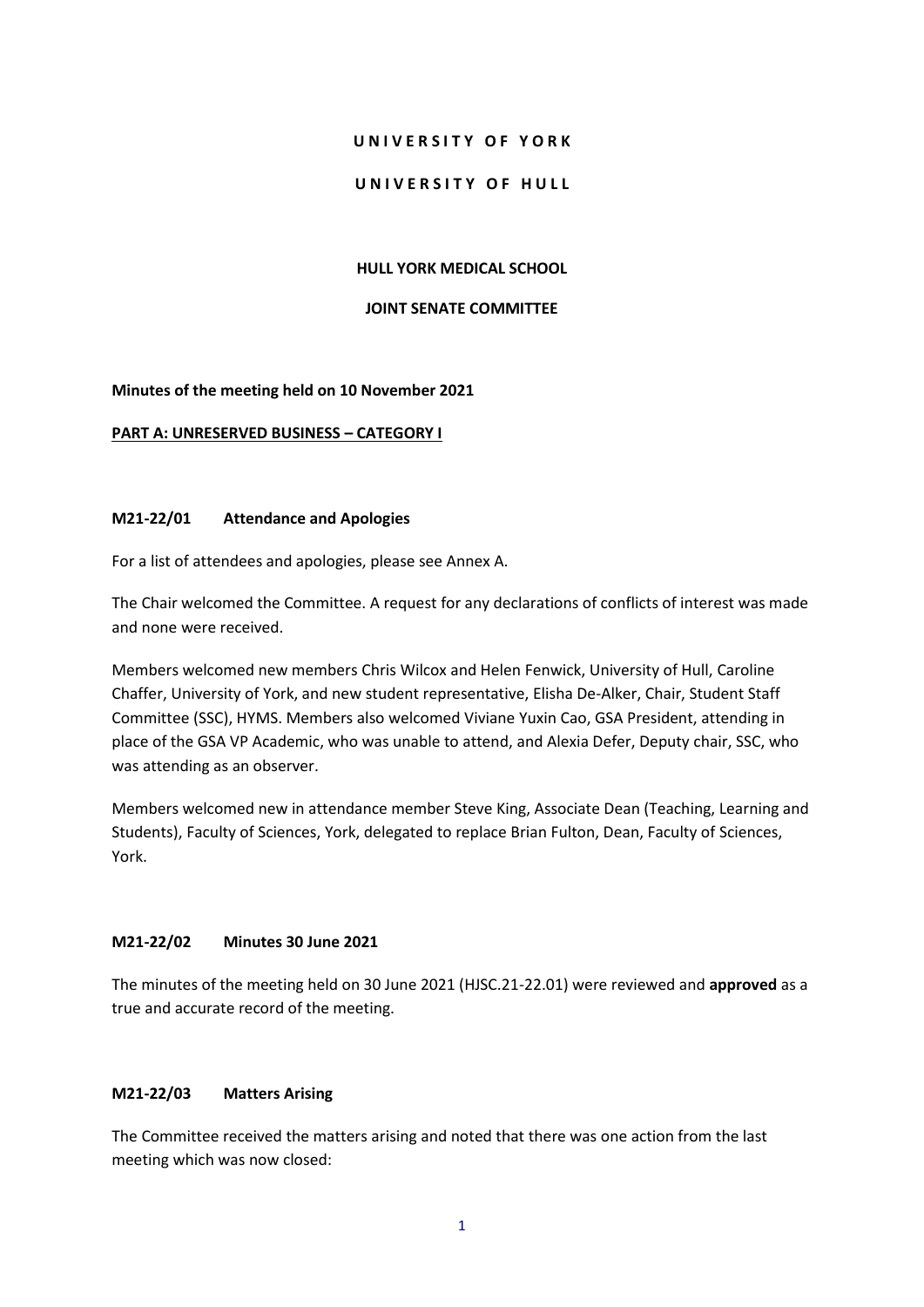### **U N I V E R S I T Y O F Y O R K**

### UNIVERSITY OF HULL

### **HULL YORK MEDICAL SCHOOL**

#### **JOINT SENATE COMMITTEE**

### **Minutes of the meeting held on 10 November 2021**

### **PART A: UNRESERVED BUSINESS – CATEGORY I**

### **M21-22/01 Attendance and Apologies**

For a list of attendees and apologies, please see Annex A.

The Chair welcomed the Committee. A request for any declarations of conflicts of interest was made and none were received.

Members welcomed new members Chris Wilcox and Helen Fenwick, University of Hull, Caroline Chaffer, University of York, and new student representative, Elisha De-Alker, Chair, Student Staff Committee (SSC), HYMS. Members also welcomed Viviane Yuxin Cao, GSA President, attending in place of the GSA VP Academic, who was unable to attend, and Alexia Defer, Deputy chair, SSC, who was attending as an observer.

Members welcomed new in attendance member Steve King, Associate Dean (Teaching, Learning and Students), Faculty of Sciences, York, delegated to replace Brian Fulton, Dean, Faculty of Sciences, York.

## **M21-22/02 Minutes 30 June 2021**

The minutes of the meeting held on 30 June 2021 (HJSC.21-22.01) were reviewed and **approved** as a true and accurate record of the meeting.

## **M21-22/03 Matters Arising**

The Committee received the matters arising and noted that there was one action from the last meeting which was now closed: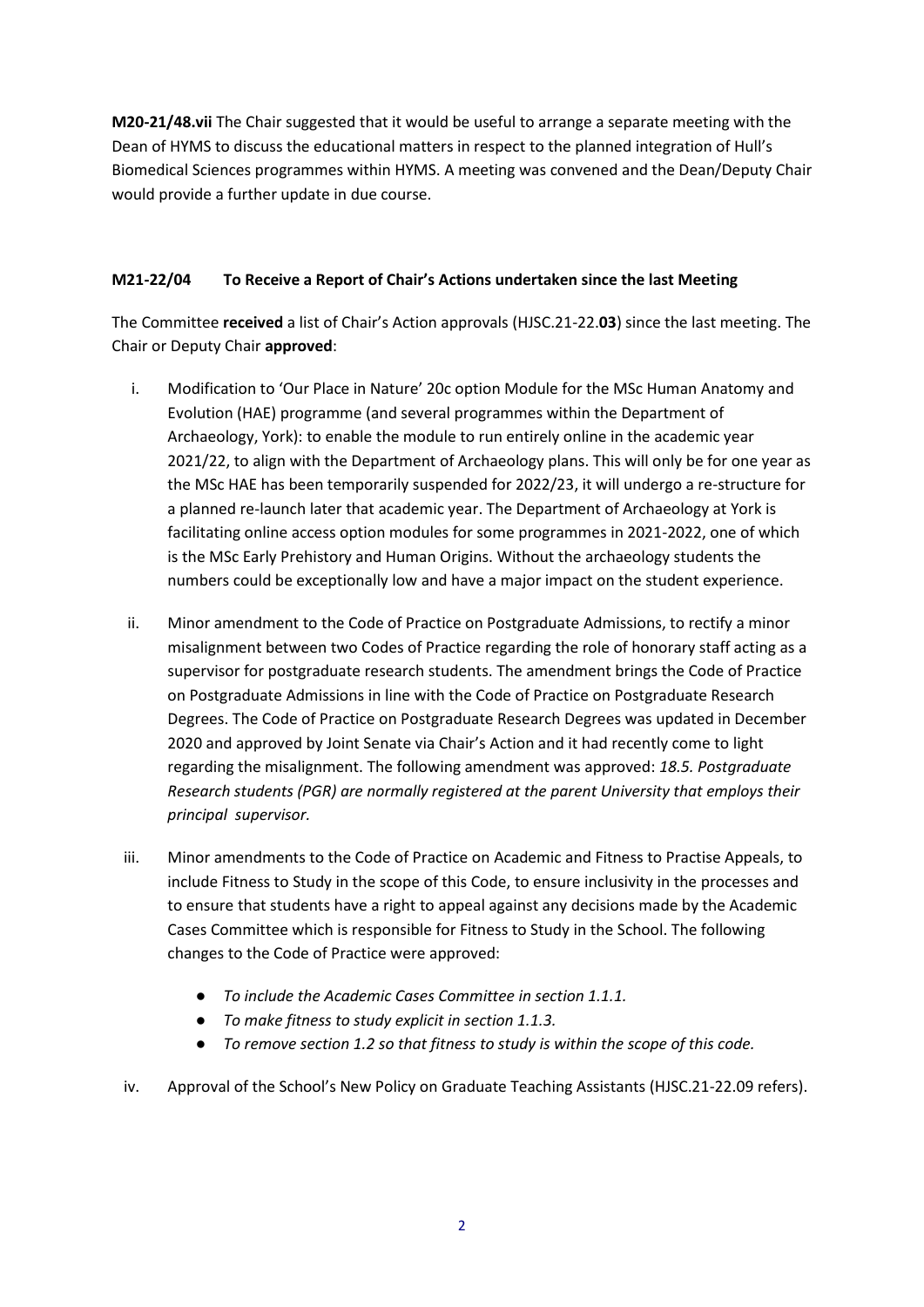**M20-21/48.vii** The Chair suggested that it would be useful to arrange a separate meeting with the Dean of HYMS to discuss the educational matters in respect to the planned integration of Hull's Biomedical Sciences programmes within HYMS. A meeting was convened and the Dean/Deputy Chair would provide a further update in due course.

## **M21-22/04 To Receive a Report of Chair's Actions undertaken since the last Meeting**

The Committee **received** a list of Chair's Action approvals (HJSC.21-22.**03**) since the last meeting. The Chair or Deputy Chair **approved**:

- i. Modification to 'Our Place in Nature' 20c option Module for the MSc Human Anatomy and Evolution (HAE) programme (and several programmes within the Department of Archaeology, York): to enable the module to run entirely online in the academic year 2021/22, to align with the Department of Archaeology plans. This will only be for one year as the MSc HAE has been temporarily suspended for 2022/23, it will undergo a re-structure for a planned re-launch later that academic year. The Department of Archaeology at York is facilitating online access option modules for some programmes in 2021-2022, one of which is the MSc Early Prehistory and Human Origins. Without the archaeology students the numbers could be exceptionally low and have a major impact on the student experience.
- ii. Minor amendment to the Code of Practice on Postgraduate Admissions, to rectify a minor misalignment between two Codes of Practice regarding the role of honorary staff acting as a supervisor for postgraduate research students. The amendment brings the Code of Practice on Postgraduate Admissions in line with the Code of Practice on Postgraduate Research Degrees. The Code of Practice on Postgraduate Research Degrees was updated in December 2020 and approved by Joint Senate via Chair's Action and it had recently come to light regarding the misalignment. The following amendment was approved: *18.5. Postgraduate Research students (PGR) are normally registered at the parent University that employs their principal supervisor.*
- iii. Minor amendments to the Code of Practice on Academic and Fitness to Practise Appeals, to include Fitness to Study in the scope of this Code, to ensure inclusivity in the processes and to ensure that students have a right to appeal against any decisions made by the Academic Cases Committee which is responsible for Fitness to Study in the School. The following changes to the Code of Practice were approved:
	- *To include the Academic Cases Committee in section 1.1.1.*
	- *To make fitness to study explicit in section 1.1.3.*
	- *To remove section 1.2 so that fitness to study is within the scope of this code.*
- iv. Approval of the School's New Policy on Graduate Teaching Assistants (HJSC.21-22.09 refers).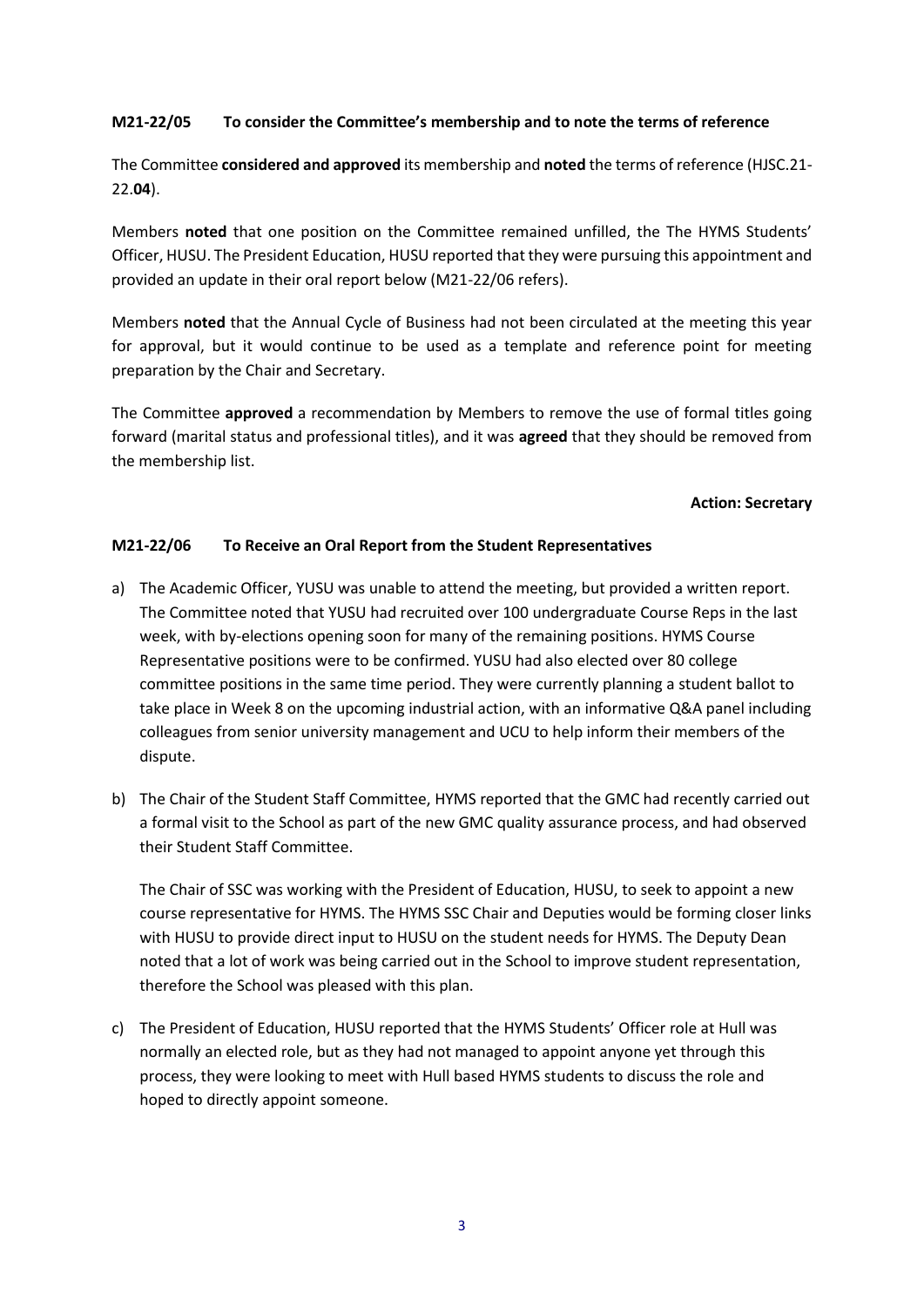## **M21-22/05 To consider the Committee's membership and to note the terms of reference**

The Committee **considered and approved** its membership and **noted** the terms of reference (HJSC.21- 22.**04**).

Members **noted** that one position on the Committee remained unfilled, the The HYMS Students' Officer, HUSU. The President Education, HUSU reported that they were pursuing this appointment and provided an update in their oral report below (M21-22/06 refers).

Members **noted** that the Annual Cycle of Business had not been circulated at the meeting this year for approval, but it would continue to be used as a template and reference point for meeting preparation by the Chair and Secretary.

The Committee **approved** a recommendation by Members to remove the use of formal titles going forward (marital status and professional titles), and it was **agreed** that they should be removed from the membership list.

### **Action: Secretary**

## **M21-22/06 To Receive an Oral Report from the Student Representatives**

- a) The Academic Officer, YUSU was unable to attend the meeting, but provided a written report. The Committee noted that YUSU had recruited over 100 undergraduate Course Reps in the last week, with by-elections opening soon for many of the remaining positions. HYMS Course Representative positions were to be confirmed. YUSU had also elected over 80 college committee positions in the same time period. They were currently planning a student ballot to take place in Week 8 on the upcoming industrial action, with an informative Q&A panel including colleagues from senior university management and UCU to help inform their members of the dispute.
- b) The Chair of the Student Staff Committee, HYMS reported that the GMC had recently carried out a formal visit to the School as part of the new GMC quality assurance process, and had observed their Student Staff Committee.

The Chair of SSC was working with the President of Education, HUSU, to seek to appoint a new course representative for HYMS. The HYMS SSC Chair and Deputies would be forming closer links with HUSU to provide direct input to HUSU on the student needs for HYMS. The Deputy Dean noted that a lot of work was being carried out in the School to improve student representation, therefore the School was pleased with this plan.

c) The President of Education, HUSU reported that the HYMS Students' Officer role at Hull was normally an elected role, but as they had not managed to appoint anyone yet through this process, they were looking to meet with Hull based HYMS students to discuss the role and hoped to directly appoint someone.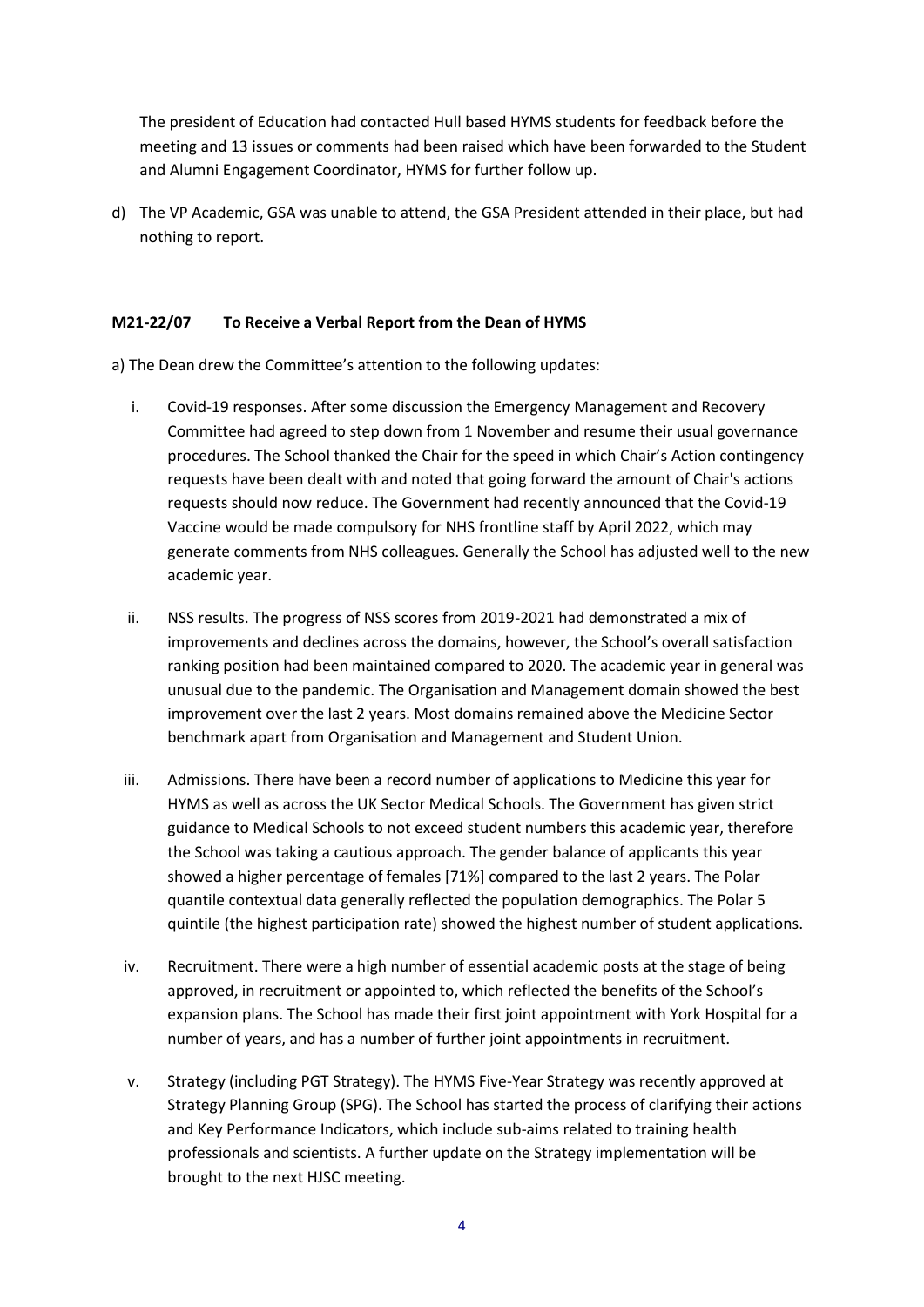The president of Education had contacted Hull based HYMS students for feedback before the meeting and 13 issues or comments had been raised which have been forwarded to the Student and Alumni Engagement Coordinator, HYMS for further follow up.

d) The VP Academic, GSA was unable to attend, the GSA President attended in their place, but had nothing to report.

## **M21-22/07 To Receive a Verbal Report from the Dean of HYMS**

a) The Dean drew the Committee's attention to the following updates:

- i. Covid-19 responses. After some discussion the Emergency Management and Recovery Committee had agreed to step down from 1 November and resume their usual governance procedures. The School thanked the Chair for the speed in which Chair's Action contingency requests have been dealt with and noted that going forward the amount of Chair's actions requests should now reduce. The Government had recently announced that the Covid-19 Vaccine would be made compulsory for NHS frontline staff by April 2022, which may generate comments from NHS colleagues. Generally the School has adjusted well to the new academic year.
- ii. NSS results. The progress of NSS scores from 2019-2021 had demonstrated a mix of improvements and declines across the domains, however, the School's overall satisfaction ranking position had been maintained compared to 2020. The academic year in general was unusual due to the pandemic. The Organisation and Management domain showed the best improvement over the last 2 years. Most domains remained above the Medicine Sector benchmark apart from Organisation and Management and Student Union.
- iii. Admissions. There have been a record number of applications to Medicine this year for HYMS as well as across the UK Sector Medical Schools. The Government has given strict guidance to Medical Schools to not exceed student numbers this academic year, therefore the School was taking a cautious approach. The gender balance of applicants this year showed a higher percentage of females [71%] compared to the last 2 years. The Polar quantile contextual data generally reflected the population demographics. The Polar 5 quintile (the highest participation rate) showed the highest number of student applications.
- iv. Recruitment. There were a high number of essential academic posts at the stage of being approved, in recruitment or appointed to, which reflected the benefits of the School's expansion plans. The School has made their first joint appointment with York Hospital for a number of years, and has a number of further joint appointments in recruitment.
- v. Strategy (including PGT Strategy). The HYMS Five-Year Strategy was recently approved at Strategy Planning Group (SPG). The School has started the process of clarifying their actions and Key Performance Indicators, which include sub-aims related to training health professionals and scientists. A further update on the Strategy implementation will be brought to the next HJSC meeting.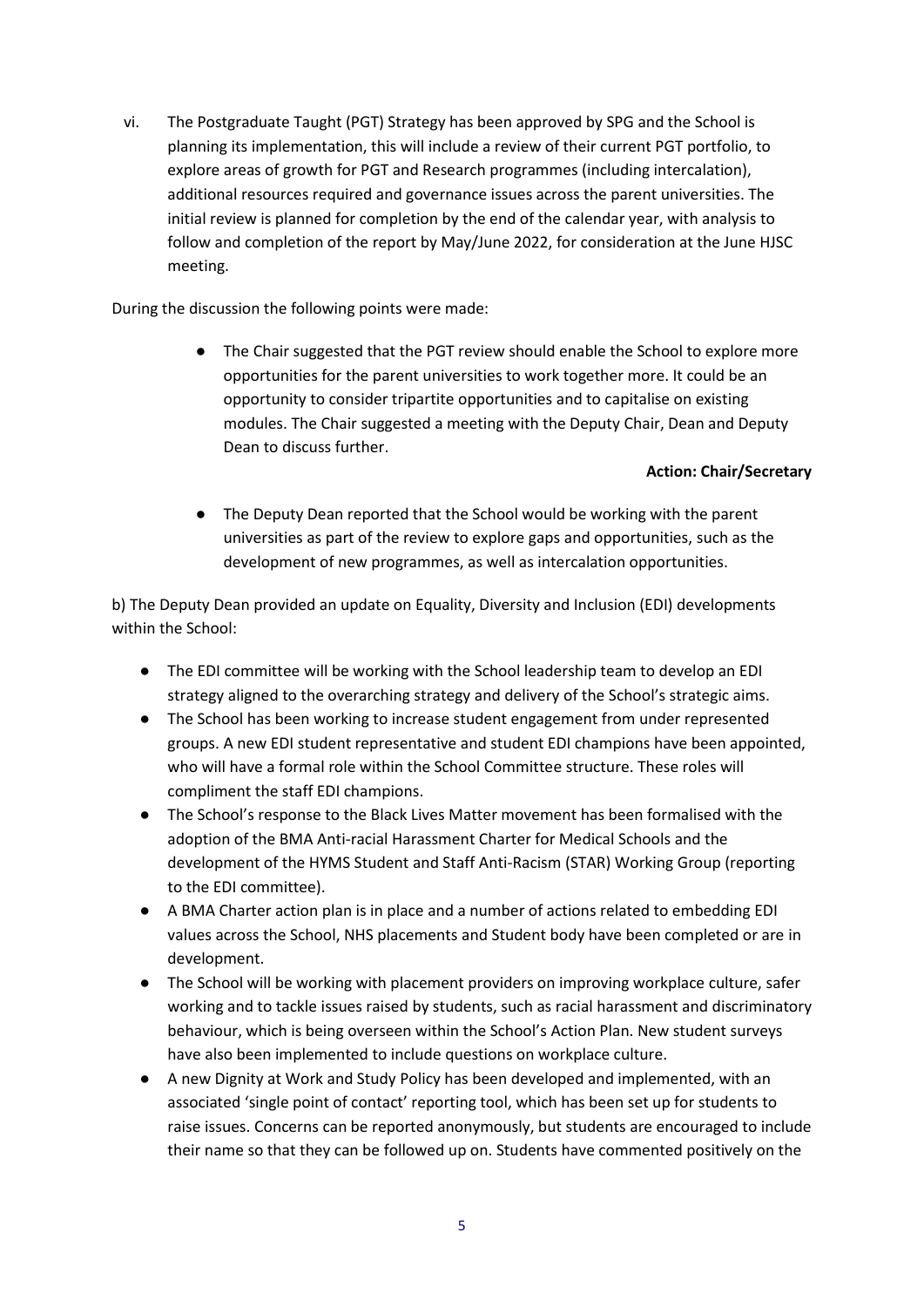vi. The Postgraduate Taught (PGT) Strategy has been approved by SPG and the School is planning its implementation, this will include a review of their current PGT portfolio, to explore areas of growth for PGT and Research programmes (including intercalation), additional resources required and governance issues across the parent universities. The initial review is planned for completion by the end of the calendar year, with analysis to follow and completion of the report by May/June 2022, for consideration at the June HJSC meeting.

During the discussion the following points were made:

● The Chair suggested that the PGT review should enable the School to explore more opportunities for the parent universities to work together more. It could be an opportunity to consider tripartite opportunities and to capitalise on existing modules. The Chair suggested a meeting with the Deputy Chair, Dean and Deputy Dean to discuss further.

## **Action: Chair/Secretary**

● The Deputy Dean reported that the School would be working with the parent universities as part of the review to explore gaps and opportunities, such as the development of new programmes, as well as intercalation opportunities.

b) The Deputy Dean provided an update on Equality, Diversity and Inclusion (EDI) developments within the School:

- The EDI committee will be working with the School leadership team to develop an EDI strategy aligned to the overarching strategy and delivery of the School's strategic aims.
- The School has been working to increase student engagement from under represented groups. A new EDI student representative and student EDI champions have been appointed, who will have a formal role within the School Committee structure. These roles will compliment the staff EDI champions.
- The School's response to the Black Lives Matter movement has been formalised with the adoption of the BMA Anti-racial Harassment Charter for Medical Schools and the development of the HYMS Student and Staff Anti-Racism (STAR) Working Group (reporting to the EDI committee).
- A BMA Charter action plan is in place and a number of actions related to embedding EDI values across the School, NHS placements and Student body have been completed or are in development.
- The School will be working with placement providers on improving workplace culture, safer working and to tackle issues raised by students, such as racial harassment and discriminatory behaviour, which is being overseen within the School's Action Plan. New student surveys have also been implemented to include questions on workplace culture.
- A new Dignity at Work and Study Policy has been developed and implemented, with an associated 'single point of contact' reporting tool, which has been set up for students to raise issues. Concerns can be reported anonymously, but students are encouraged to include their name so that they can be followed up on. Students have commented positively on the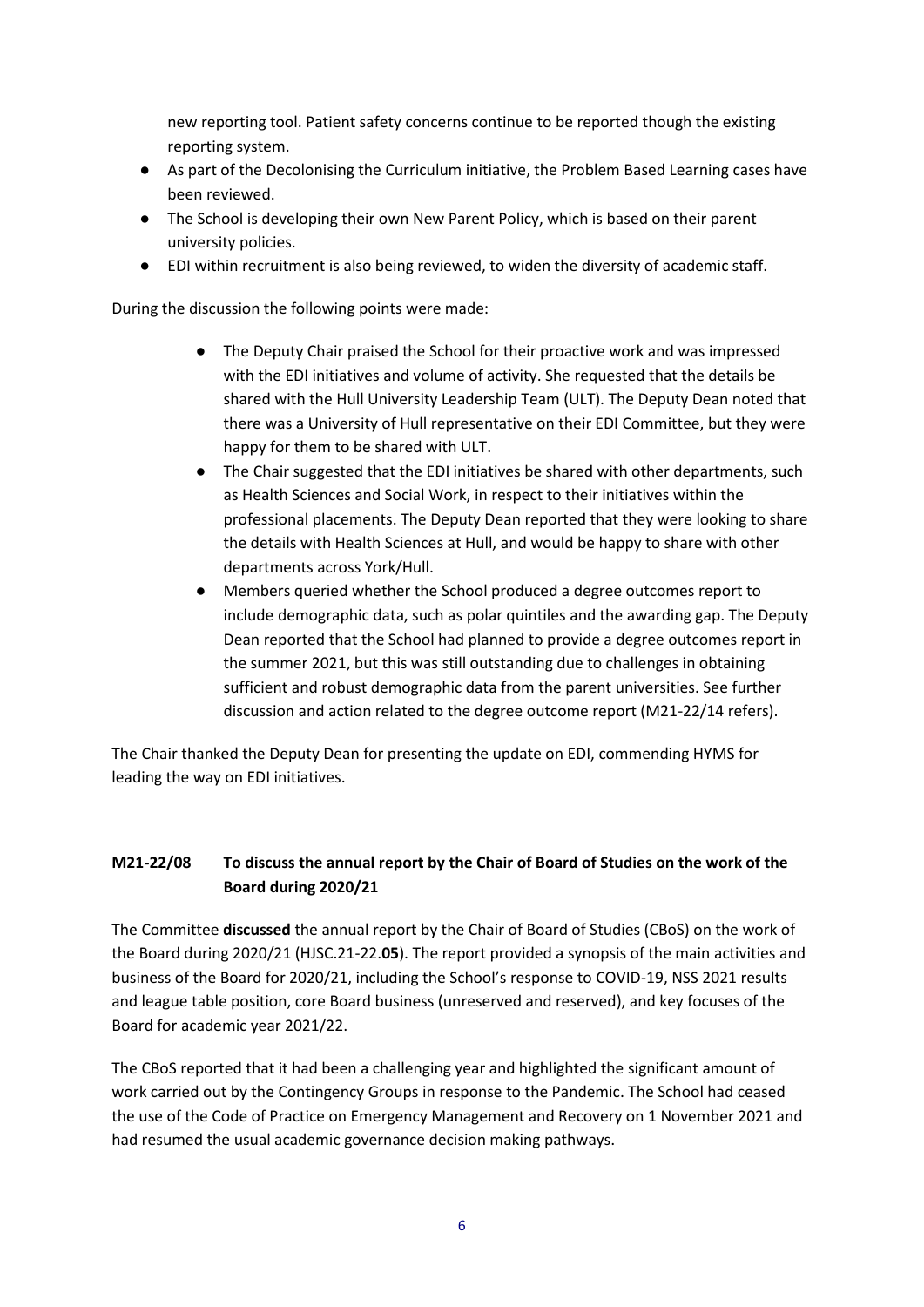new reporting tool. Patient safety concerns continue to be reported though the existing reporting system.

- As part of the Decolonising the Curriculum initiative, the Problem Based Learning cases have been reviewed.
- The School is developing their own New Parent Policy, which is based on their parent university policies.
- EDI within recruitment is also being reviewed, to widen the diversity of academic staff.

During the discussion the following points were made:

- The Deputy Chair praised the School for their proactive work and was impressed with the EDI initiatives and volume of activity. She requested that the details be shared with the Hull University Leadership Team (ULT). The Deputy Dean noted that there was a University of Hull representative on their EDI Committee, but they were happy for them to be shared with ULT.
- The Chair suggested that the EDI initiatives be shared with other departments, such as Health Sciences and Social Work, in respect to their initiatives within the professional placements. The Deputy Dean reported that they were looking to share the details with Health Sciences at Hull, and would be happy to share with other departments across York/Hull.
- Members queried whether the School produced a degree outcomes report to include demographic data, such as polar quintiles and the awarding gap. The Deputy Dean reported that the School had planned to provide a degree outcomes report in the summer 2021, but this was still outstanding due to challenges in obtaining sufficient and robust demographic data from the parent universities. See further discussion and action related to the degree outcome report (M21-22/14 refers).

The Chair thanked the Deputy Dean for presenting the update on EDI, commending HYMS for leading the way on EDI initiatives.

# **M21-22/08 To discuss the annual report by the Chair of Board of Studies on the work of the Board during 2020/21**

The Committee **discussed** the annual report by the Chair of Board of Studies (CBoS) on the work of the Board during 2020/21 (HJSC.21-22.**05**). The report provided a synopsis of the main activities and business of the Board for 2020/21, including the School's response to COVID-19, NSS 2021 results and league table position, core Board business (unreserved and reserved), and key focuses of the Board for academic year 2021/22.

The CBoS reported that it had been a challenging year and highlighted the significant amount of work carried out by the Contingency Groups in response to the Pandemic. The School had ceased the use of the Code of Practice on Emergency Management and Recovery on 1 November 2021 and had resumed the usual academic governance decision making pathways.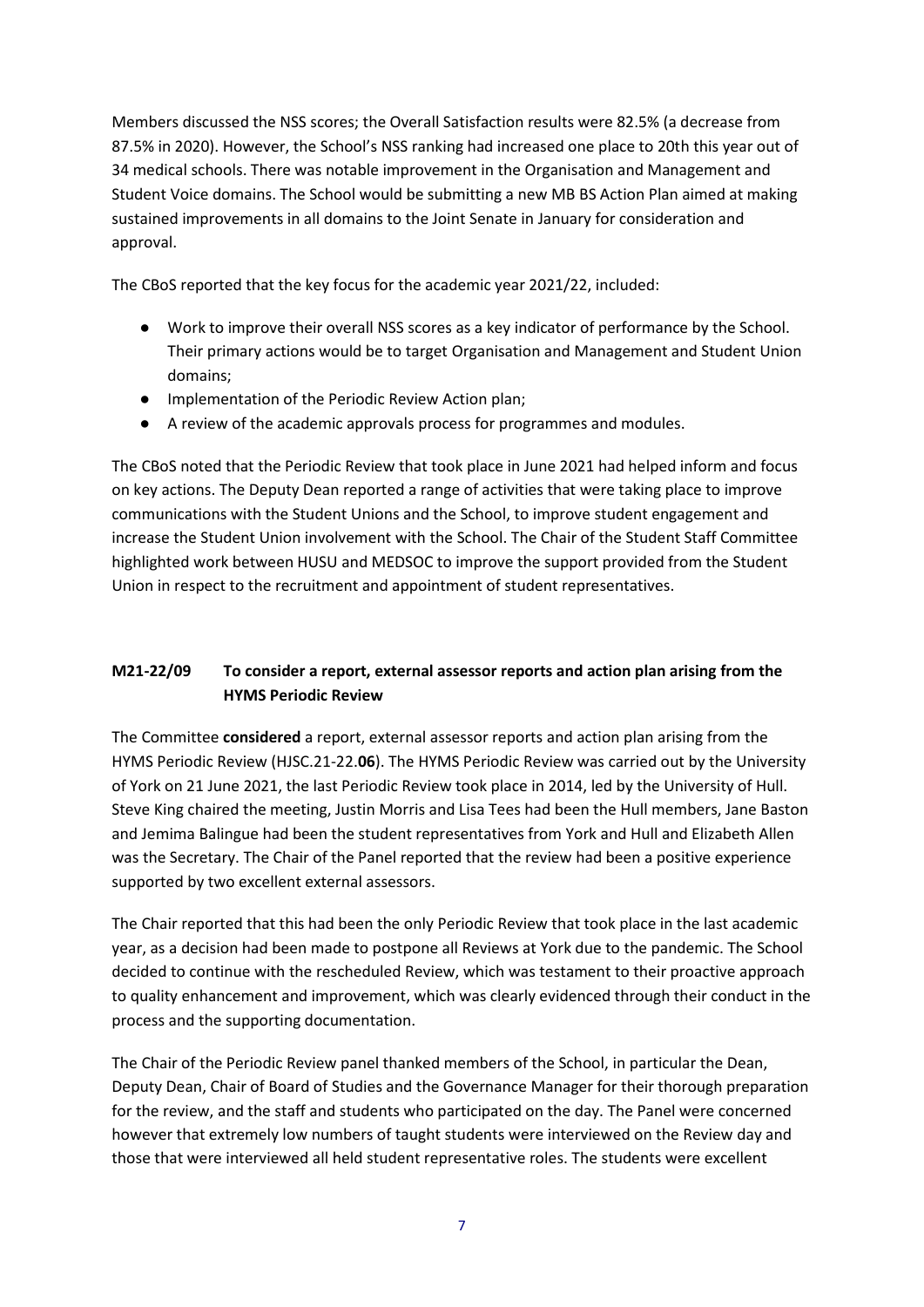Members discussed the NSS scores; the Overall Satisfaction results were 82.5% (a decrease from 87.5% in 2020). However, the School's NSS ranking had increased one place to 20th this year out of 34 medical schools. There was notable improvement in the Organisation and Management and Student Voice domains. The School would be submitting a new MB BS Action Plan aimed at making sustained improvements in all domains to the Joint Senate in January for consideration and approval.

The CBoS reported that the key focus for the academic year 2021/22, included:

- Work to improve their overall NSS scores as a key indicator of performance by the School. Their primary actions would be to target Organisation and Management and Student Union domains;
- Implementation of the Periodic Review Action plan;
- A review of the academic approvals process for programmes and modules.

The CBoS noted that the Periodic Review that took place in June 2021 had helped inform and focus on key actions. The Deputy Dean reported a range of activities that were taking place to improve communications with the Student Unions and the School, to improve student engagement and increase the Student Union involvement with the School. The Chair of the Student Staff Committee highlighted work between HUSU and MEDSOC to improve the support provided from the Student Union in respect to the recruitment and appointment of student representatives.

# **M21-22/09 To consider a report, external assessor reports and action plan arising from the HYMS Periodic Review**

The Committee **considered** a report, external assessor reports and action plan arising from the HYMS Periodic Review (HJSC.21-22.**06**). The HYMS Periodic Review was carried out by the University of York on 21 June 2021, the last Periodic Review took place in 2014, led by the University of Hull. Steve King chaired the meeting, Justin Morris and Lisa Tees had been the Hull members, Jane Baston and Jemima Balingue had been the student representatives from York and Hull and Elizabeth Allen was the Secretary. The Chair of the Panel reported that the review had been a positive experience supported by two excellent external assessors.

The Chair reported that this had been the only Periodic Review that took place in the last academic year, as a decision had been made to postpone all Reviews at York due to the pandemic. The School decided to continue with the rescheduled Review, which was testament to their proactive approach to quality enhancement and improvement, which was clearly evidenced through their conduct in the process and the supporting documentation.

The Chair of the Periodic Review panel thanked members of the School, in particular the Dean, Deputy Dean, Chair of Board of Studies and the Governance Manager for their thorough preparation for the review, and the staff and students who participated on the day. The Panel were concerned however that extremely low numbers of taught students were interviewed on the Review day and those that were interviewed all held student representative roles. The students were excellent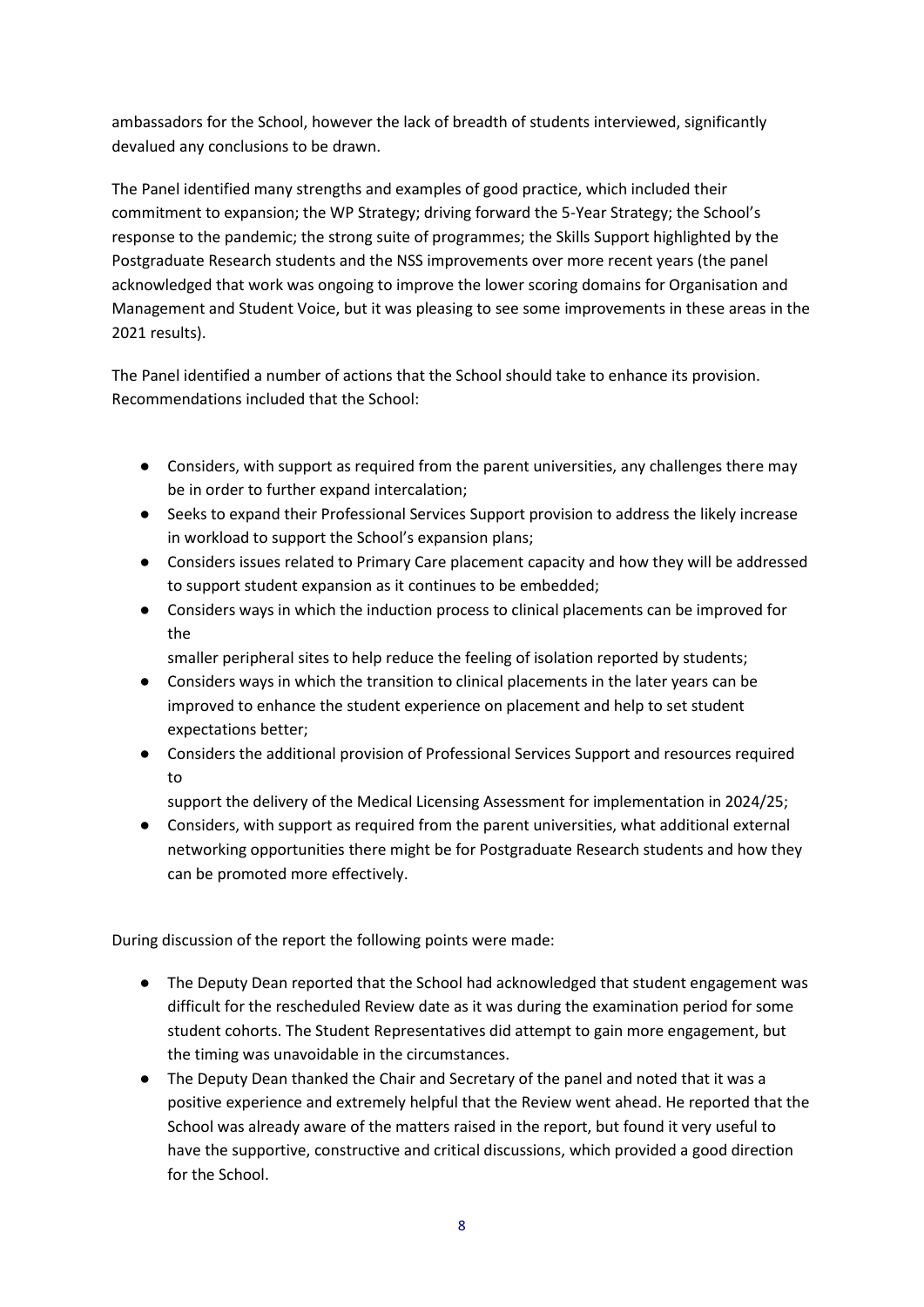ambassadors for the School, however the lack of breadth of students interviewed, significantly devalued any conclusions to be drawn.

The Panel identified many strengths and examples of good practice, which included their commitment to expansion; the WP Strategy; driving forward the 5-Year Strategy; the School's response to the pandemic; the strong suite of programmes; the Skills Support highlighted by the Postgraduate Research students and the NSS improvements over more recent years (the panel acknowledged that work was ongoing to improve the lower scoring domains for Organisation and Management and Student Voice, but it was pleasing to see some improvements in these areas in the 2021 results).

The Panel identified a number of actions that the School should take to enhance its provision. Recommendations included that the School:

- Considers, with support as required from the parent universities, any challenges there may be in order to further expand intercalation;
- Seeks to expand their Professional Services Support provision to address the likely increase in workload to support the School's expansion plans;
- Considers issues related to Primary Care placement capacity and how they will be addressed to support student expansion as it continues to be embedded;
- Considers ways in which the induction process to clinical placements can be improved for the

smaller peripheral sites to help reduce the feeling of isolation reported by students;

- Considers ways in which the transition to clinical placements in the later years can be improved to enhance the student experience on placement and help to set student expectations better;
- Considers the additional provision of Professional Services Support and resources required to
	- support the delivery of the Medical Licensing Assessment for implementation in 2024/25;
- Considers, with support as required from the parent universities, what additional external networking opportunities there might be for Postgraduate Research students and how they can be promoted more effectively.

During discussion of the report the following points were made:

- The Deputy Dean reported that the School had acknowledged that student engagement was difficult for the rescheduled Review date as it was during the examination period for some student cohorts. The Student Representatives did attempt to gain more engagement, but the timing was unavoidable in the circumstances.
- The Deputy Dean thanked the Chair and Secretary of the panel and noted that it was a positive experience and extremely helpful that the Review went ahead. He reported that the School was already aware of the matters raised in the report, but found it very useful to have the supportive, constructive and critical discussions, which provided a good direction for the School.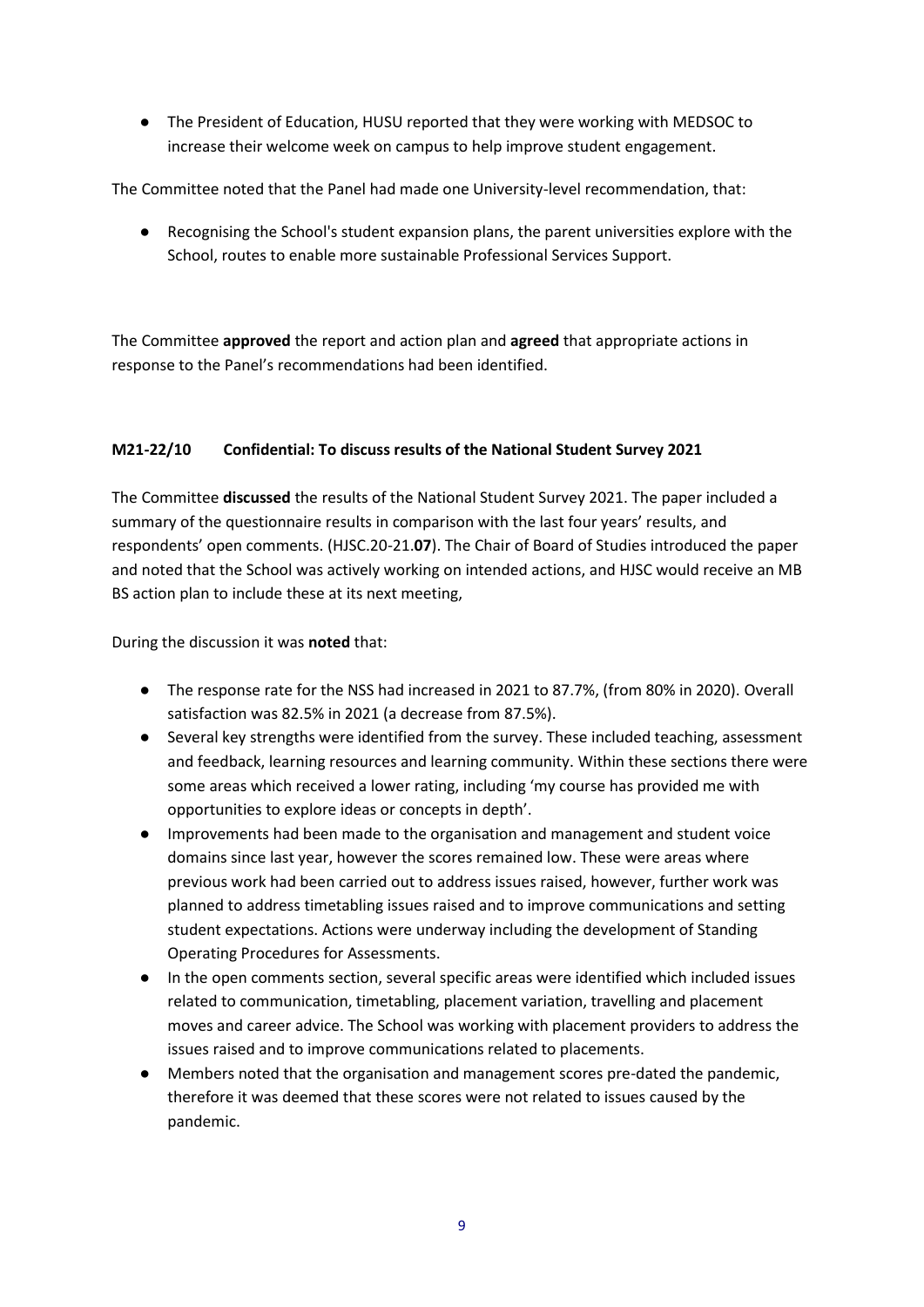● The President of Education, HUSU reported that they were working with MEDSOC to increase their welcome week on campus to help improve student engagement.

The Committee noted that the Panel had made one University-level recommendation, that:

● Recognising the School's student expansion plans, the parent universities explore with the School, routes to enable more sustainable Professional Services Support.

The Committee **approved** the report and action plan and **agreed** that appropriate actions in response to the Panel's recommendations had been identified.

# **M21-22/10 Confidential: To discuss results of the National Student Survey 2021**

The Committee **discussed** the results of the National Student Survey 2021. The paper included a summary of the questionnaire results in comparison with the last four years' results, and respondents' open comments. (HJSC.20-21.**07**). The Chair of Board of Studies introduced the paper and noted that the School was actively working on intended actions, and HJSC would receive an MB BS action plan to include these at its next meeting,

During the discussion it was **noted** that:

- The response rate for the NSS had increased in 2021 to 87.7%, (from 80% in 2020). Overall satisfaction was 82.5% in 2021 (a decrease from 87.5%).
- Several key strengths were identified from the survey. These included teaching, assessment and feedback, learning resources and learning community. Within these sections there were some areas which received a lower rating, including 'my course has provided me with opportunities to explore ideas or concepts in depth'.
- Improvements had been made to the organisation and management and student voice domains since last year, however the scores remained low. These were areas where previous work had been carried out to address issues raised, however, further work was planned to address timetabling issues raised and to improve communications and setting student expectations. Actions were underway including the development of Standing Operating Procedures for Assessments.
- In the open comments section, several specific areas were identified which included issues related to communication, timetabling, placement variation, travelling and placement moves and career advice. The School was working with placement providers to address the issues raised and to improve communications related to placements.
- Members noted that the organisation and management scores pre-dated the pandemic, therefore it was deemed that these scores were not related to issues caused by the pandemic.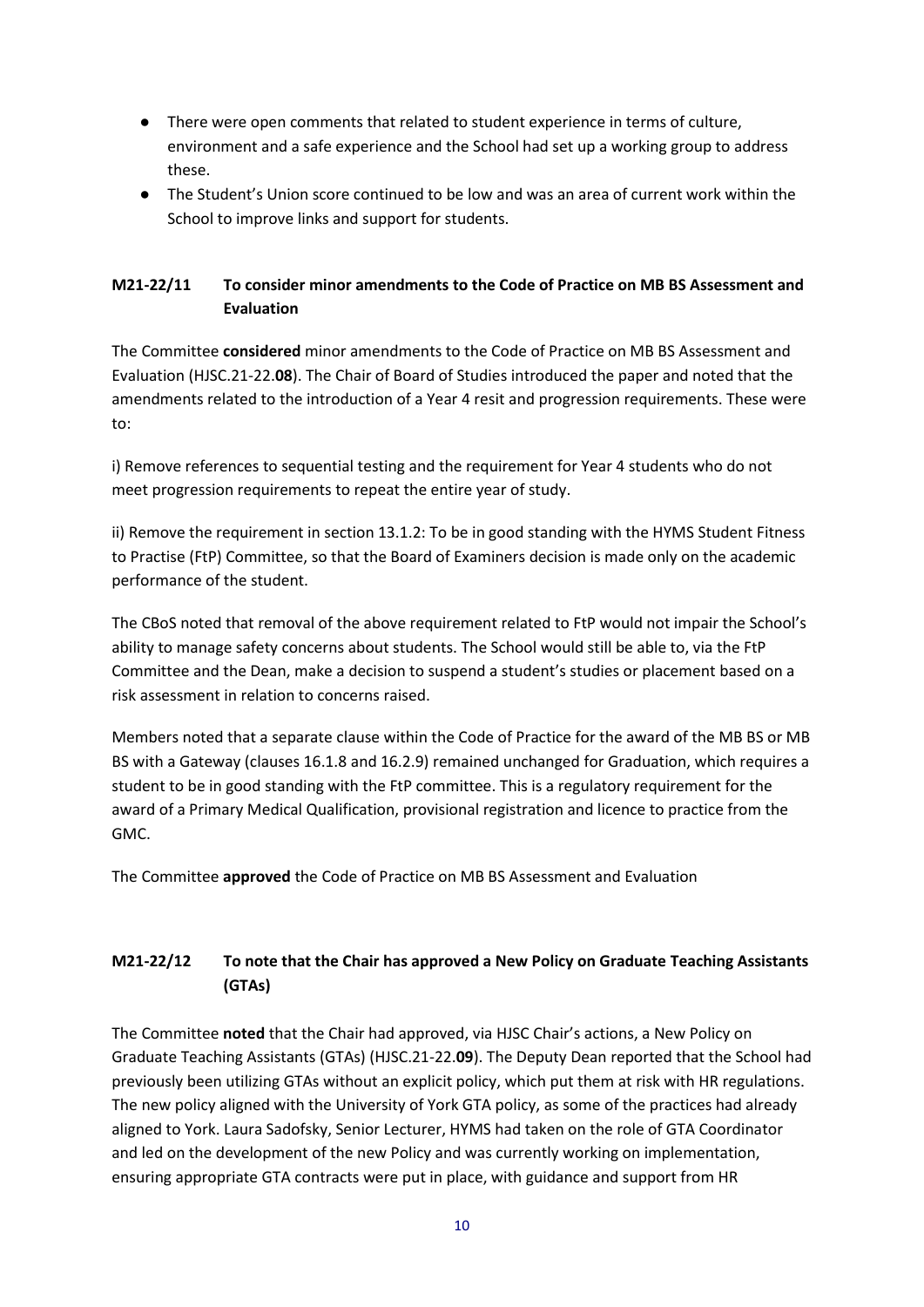- There were open comments that related to student experience in terms of culture, environment and a safe experience and the School had set up a working group to address these.
- The Student's Union score continued to be low and was an area of current work within the School to improve links and support for students.

# **M21-22/11 To consider minor amendments to the Code of Practice on MB BS Assessment and Evaluation**

The Committee **considered** minor amendments to the Code of Practice on MB BS Assessment and Evaluation (HJSC.21-22.**08**). The Chair of Board of Studies introduced the paper and noted that the amendments related to the introduction of a Year 4 resit and progression requirements. These were to:

i) Remove references to sequential testing and the requirement for Year 4 students who do not meet progression requirements to repeat the entire year of study.

ii) Remove the requirement in section 13.1.2: To be in good standing with the HYMS Student Fitness to Practise (FtP) Committee, so that the Board of Examiners decision is made only on the academic performance of the student.

The CBoS noted that removal of the above requirement related to FtP would not impair the School's ability to manage safety concerns about students. The School would still be able to, via the FtP Committee and the Dean, make a decision to suspend a student's studies or placement based on a risk assessment in relation to concerns raised.

Members noted that a separate clause within the Code of Practice for the award of the MB BS or MB BS with a Gateway (clauses 16.1.8 and 16.2.9) remained unchanged for Graduation, which requires a student to be in good standing with the FtP committee. This is a regulatory requirement for the award of a Primary Medical Qualification, provisional registration and licence to practice from the GMC.

The Committee **approved** the Code of Practice on MB BS Assessment and Evaluation

# **M21-22/12 To note that the Chair has approved a New Policy on Graduate Teaching Assistants (GTAs)**

The Committee **noted** that the Chair had approved, via HJSC Chair's actions, a New Policy on Graduate Teaching Assistants (GTAs) (HJSC.21-22.**09**). The Deputy Dean reported that the School had previously been utilizing GTAs without an explicit policy, which put them at risk with HR regulations. The new policy aligned with the University of York GTA policy, as some of the practices had already aligned to York. Laura Sadofsky, Senior Lecturer, HYMS had taken on the role of GTA Coordinator and led on the development of the new Policy and was currently working on implementation, ensuring appropriate GTA contracts were put in place, with guidance and support from HR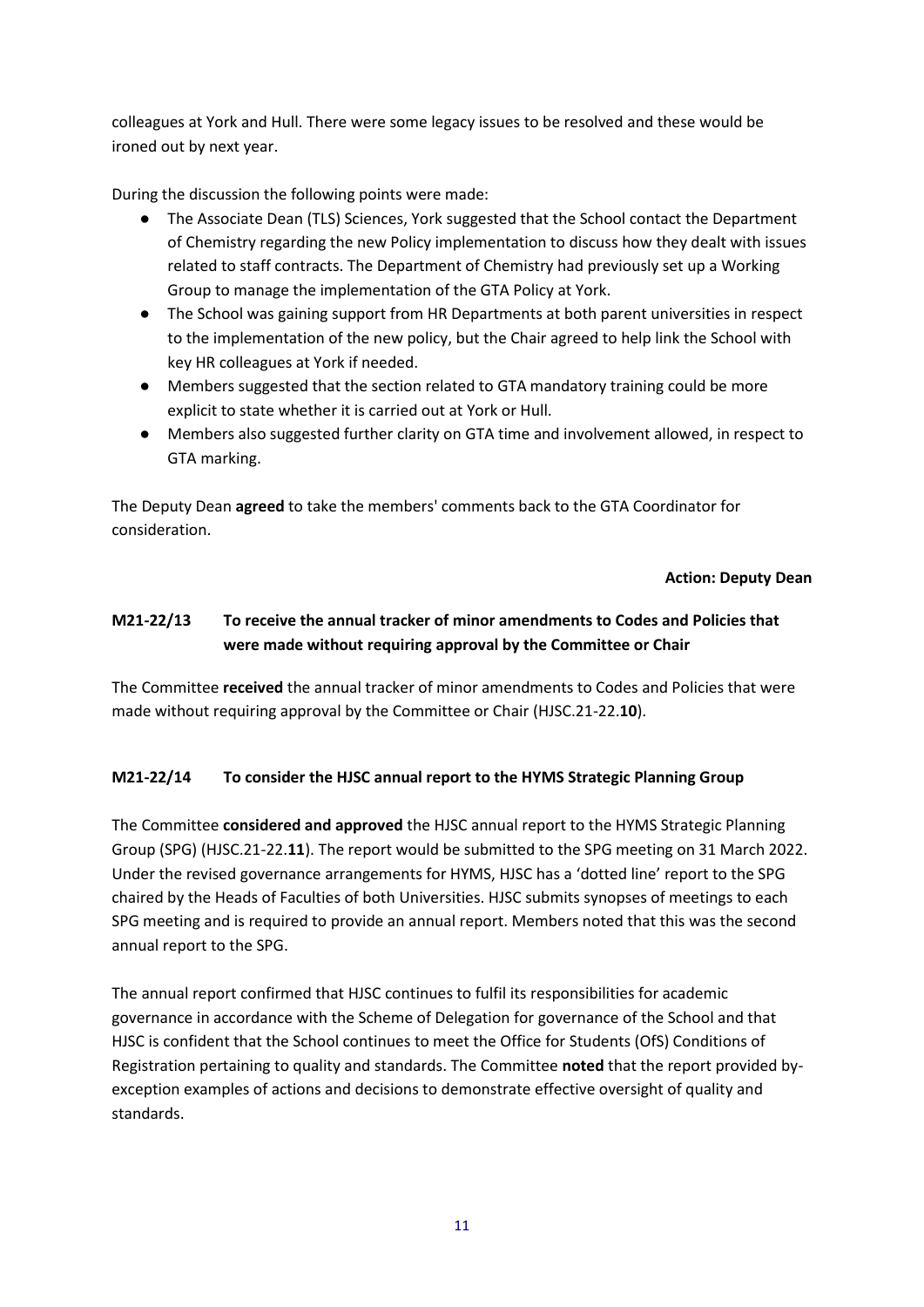colleagues at York and Hull. There were some legacy issues to be resolved and these would be ironed out by next year.

During the discussion the following points were made:

- The Associate Dean (TLS) Sciences, York suggested that the School contact the Department of Chemistry regarding the new Policy implementation to discuss how they dealt with issues related to staff contracts. The Department of Chemistry had previously set up a Working Group to manage the implementation of the GTA Policy at York.
- The School was gaining support from HR Departments at both parent universities in respect to the implementation of the new policy, but the Chair agreed to help link the School with key HR colleagues at York if needed.
- Members suggested that the section related to GTA mandatory training could be more explicit to state whether it is carried out at York or Hull.
- Members also suggested further clarity on GTA time and involvement allowed, in respect to GTA marking.

The Deputy Dean **agreed** to take the members' comments back to the GTA Coordinator for consideration.

## **Action: Deputy Dean**

# **M21-22/13 To receive the annual tracker of minor amendments to Codes and Policies that were made without requiring approval by the Committee or Chair**

The Committee **received** the annual tracker of minor amendments to Codes and Policies that were made without requiring approval by the Committee or Chair (HJSC.21-22.**10**).

# **M21-22/14 To consider the HJSC annual report to the HYMS Strategic Planning Group**

The Committee **considered and approved** the HJSC annual report to the HYMS Strategic Planning Group (SPG) (HJSC.21-22.**11**). The report would be submitted to the SPG meeting on 31 March 2022. Under the revised governance arrangements for HYMS, HJSC has a 'dotted line' report to the SPG chaired by the Heads of Faculties of both Universities. HJSC submits synopses of meetings to each SPG meeting and is required to provide an annual report. Members noted that this was the second annual report to the SPG.

The annual report confirmed that HJSC continues to fulfil its responsibilities for academic governance in accordance with the Scheme of Delegation for governance of the School and that HJSC is confident that the School continues to meet the Office for Students (OfS) Conditions of Registration pertaining to quality and standards. The Committee **noted** that the report provided byexception examples of actions and decisions to demonstrate effective oversight of quality and standards.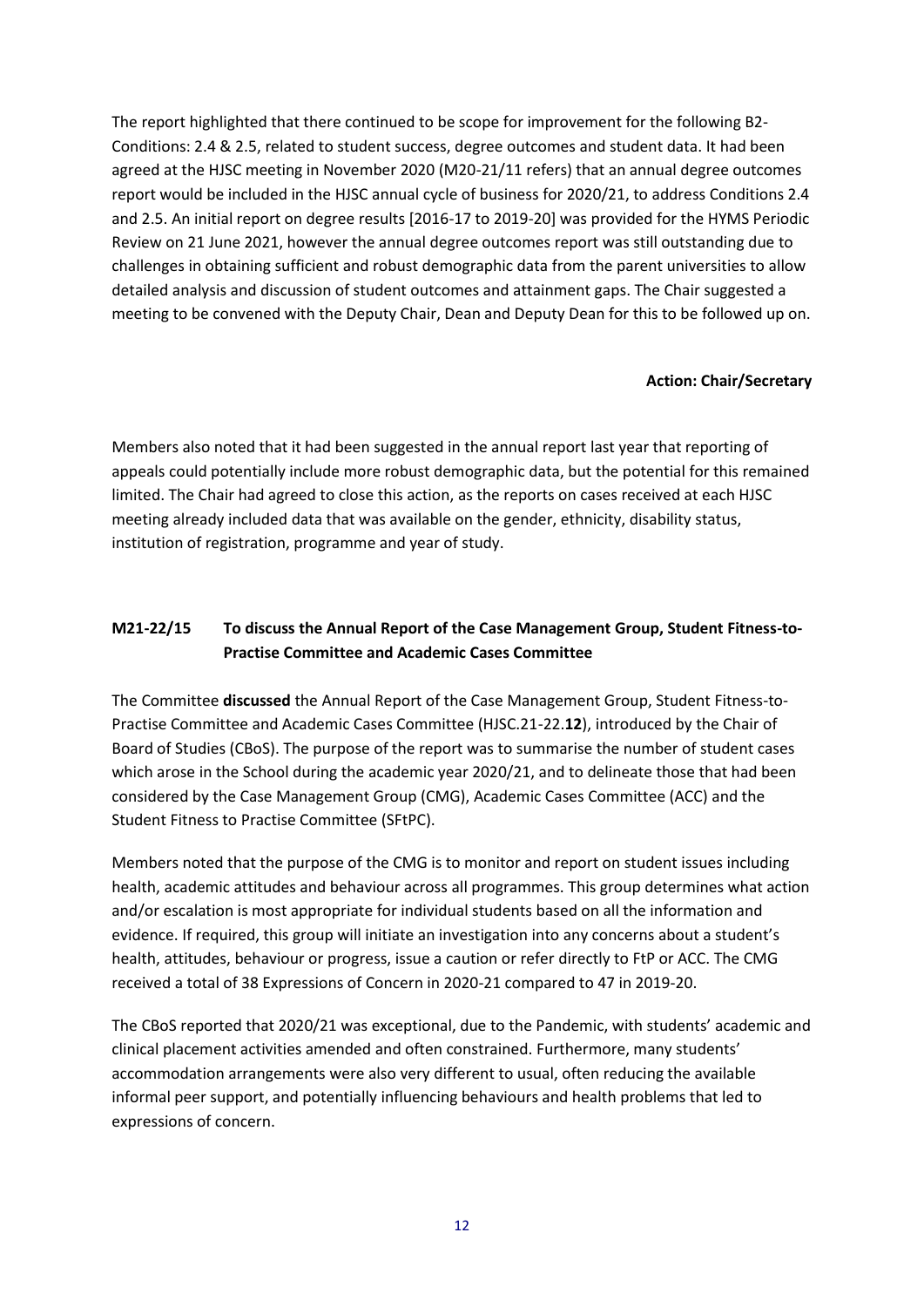The report highlighted that there continued to be scope for improvement for the following B2- Conditions: 2.4 & 2.5, related to student success, degree outcomes and student data. It had been agreed at the HJSC meeting in November 2020 (M20-21/11 refers) that an annual degree outcomes report would be included in the HJSC annual cycle of business for 2020/21, to address Conditions 2.4 and 2.5. An initial report on degree results [2016-17 to 2019-20] was provided for the HYMS Periodic Review on 21 June 2021, however the annual degree outcomes report was still outstanding due to challenges in obtaining sufficient and robust demographic data from the parent universities to allow detailed analysis and discussion of student outcomes and attainment gaps. The Chair suggested a meeting to be convened with the Deputy Chair, Dean and Deputy Dean for this to be followed up on.

## **Action: Chair/Secretary**

Members also noted that it had been suggested in the annual report last year that reporting of appeals could potentially include more robust demographic data, but the potential for this remained limited. The Chair had agreed to close this action, as the reports on cases received at each HJSC meeting already included data that was available on the gender, ethnicity, disability status, institution of registration, programme and year of study.

# **M21-22/15 To discuss the Annual Report of the Case Management Group, Student Fitness-to-Practise Committee and Academic Cases Committee**

The Committee **discussed** the Annual Report of the Case Management Group, Student Fitness-to-Practise Committee and Academic Cases Committee (HJSC.21-22.**12**), introduced by the Chair of Board of Studies (CBoS). The purpose of the report was to summarise the number of student cases which arose in the School during the academic year 2020/21, and to delineate those that had been considered by the Case Management Group (CMG), Academic Cases Committee (ACC) and the Student Fitness to Practise Committee (SFtPC).

Members noted that the purpose of the CMG is to monitor and report on student issues including health, academic attitudes and behaviour across all programmes. This group determines what action and/or escalation is most appropriate for individual students based on all the information and evidence. If required, this group will initiate an investigation into any concerns about a student's health, attitudes, behaviour or progress, issue a caution or refer directly to FtP or ACC. The CMG received a total of 38 Expressions of Concern in 2020-21 compared to 47 in 2019-20.

The CBoS reported that 2020/21 was exceptional, due to the Pandemic, with students' academic and clinical placement activities amended and often constrained. Furthermore, many students' accommodation arrangements were also very different to usual, often reducing the available informal peer support, and potentially influencing behaviours and health problems that led to expressions of concern.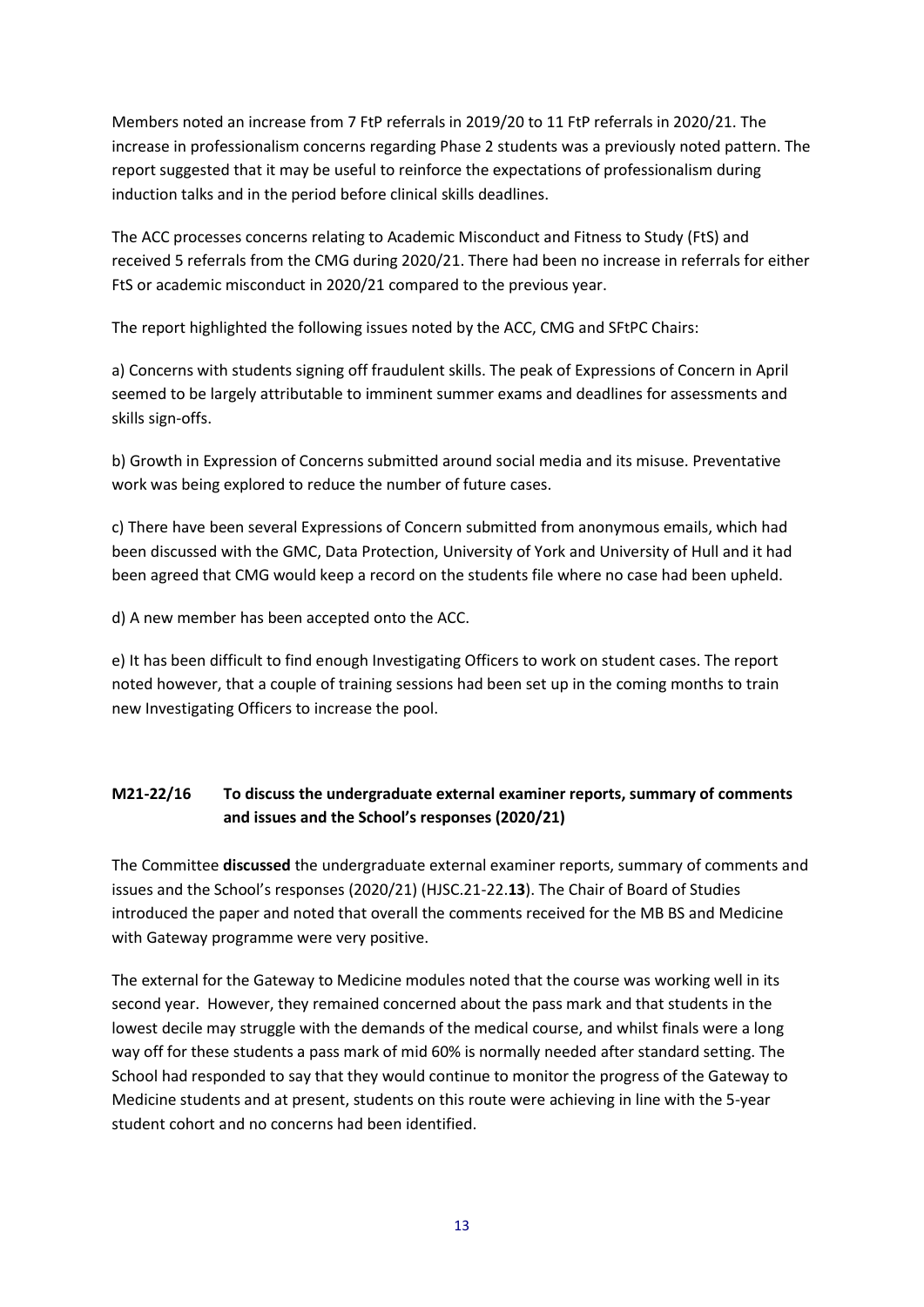Members noted an increase from 7 FtP referrals in 2019/20 to 11 FtP referrals in 2020/21. The increase in professionalism concerns regarding Phase 2 students was a previously noted pattern. The report suggested that it may be useful to reinforce the expectations of professionalism during induction talks and in the period before clinical skills deadlines.

The ACC processes concerns relating to Academic Misconduct and Fitness to Study (FtS) and received 5 referrals from the CMG during 2020/21. There had been no increase in referrals for either FtS or academic misconduct in 2020/21 compared to the previous year.

The report highlighted the following issues noted by the ACC, CMG and SFtPC Chairs:

a) Concerns with students signing off fraudulent skills. The peak of Expressions of Concern in April seemed to be largely attributable to imminent summer exams and deadlines for assessments and skills sign-offs.

b) Growth in Expression of Concerns submitted around social media and its misuse. Preventative work was being explored to reduce the number of future cases.

c) There have been several Expressions of Concern submitted from anonymous emails, which had been discussed with the GMC, Data Protection, University of York and University of Hull and it had been agreed that CMG would keep a record on the students file where no case had been upheld.

d) A new member has been accepted onto the ACC.

e) It has been difficult to find enough Investigating Officers to work on student cases. The report noted however, that a couple of training sessions had been set up in the coming months to train new Investigating Officers to increase the pool.

# **M21-22/16 To discuss the undergraduate external examiner reports, summary of comments and issues and the School's responses (2020/21)**

The Committee **discussed** the undergraduate external examiner reports, summary of comments and issues and the School's responses (2020/21) (HJSC.21-22.**13**). The Chair of Board of Studies introduced the paper and noted that overall the comments received for the MB BS and Medicine with Gateway programme were very positive.

The external for the Gateway to Medicine modules noted that the course was working well in its second year. However, they remained concerned about the pass mark and that students in the lowest decile may struggle with the demands of the medical course, and whilst finals were a long way off for these students a pass mark of mid 60% is normally needed after standard setting. The School had responded to say that they would continue to monitor the progress of the Gateway to Medicine students and at present, students on this route were achieving in line with the 5-year student cohort and no concerns had been identified.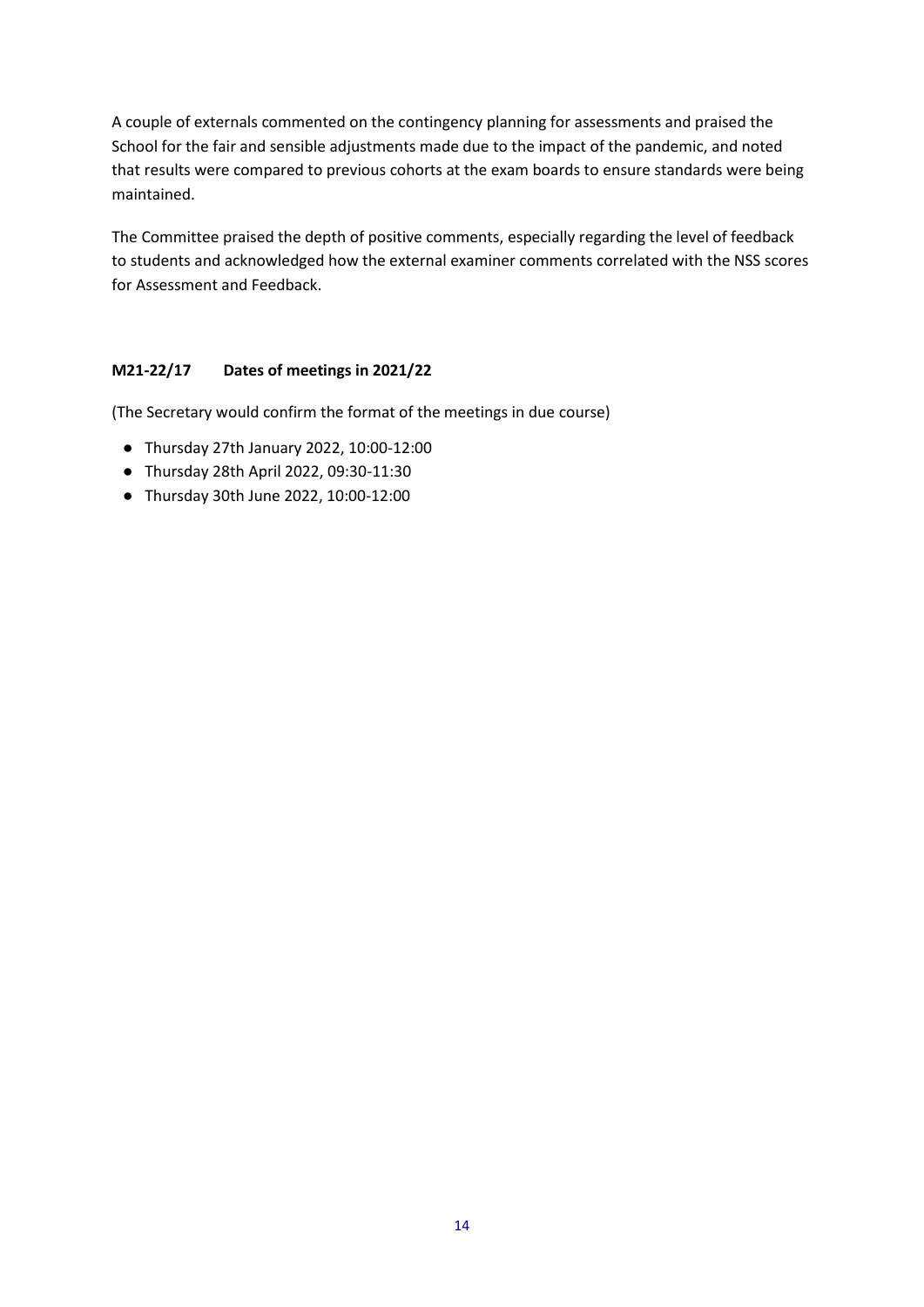A couple of externals commented on the contingency planning for assessments and praised the School for the fair and sensible adjustments made due to the impact of the pandemic, and noted that results were compared to previous cohorts at the exam boards to ensure standards were being maintained.

The Committee praised the depth of positive comments, especially regarding the level of feedback to students and acknowledged how the external examiner comments correlated with the NSS scores for Assessment and Feedback.

# **M21-22/17 Dates of meetings in 2021/22**

(The Secretary would confirm the format of the meetings in due course)

- Thursday 27th January 2022, 10:00-12:00
- Thursday 28th April 2022, 09:30-11:30
- Thursday 30th June 2022, 10:00-12:00